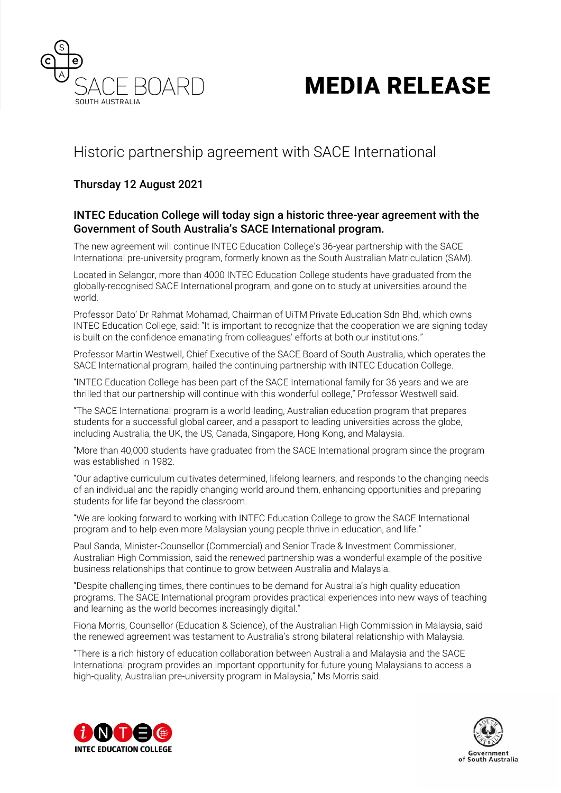

# **MEDIA RELEASE**

# Historic partnership agreement with SACE International

# Thursday 12 August 2021

## INTEC Education College will today sign a historic three-year agreement with the Government of South Australia's SACE International program.

The new agreement will continue INTEC Education College's 36-year partnership with the SACE International pre-university program, formerly known as the South Australian Matriculation (SAM).

Located in Selangor, more than 4000 INTEC Education College students have graduated from the globally-recognised SACE International program, and gone on to study at universities around the world.

Professor Dato' Dr Rahmat Mohamad, Chairman of UiTM Private Education Sdn Bhd, which owns INTEC Education College, said: "It is important to recognize that the cooperation we are signing today is built on the confidence emanating from colleagues' efforts at both our institutions."

Professor Martin Westwell, Chief Executive of the SACE Board of South Australia, which operates the SACE International program, hailed the continuing partnership with INTEC Education College.

"INTEC Education College has been part of the SACE International family for 36 years and we are thrilled that our partnership will continue with this wonderful college," Professor Westwell said.

"The SACE International program is a world-leading, Australian education program that prepares students for a successful global career, and a passport to leading universities across the globe, including Australia, the UK, the US, Canada, Singapore, Hong Kong, and Malaysia.

"More than 40,000 students have graduated from the SACE International program since the program was established in 1982.

"Our adaptive curriculum cultivates determined, lifelong learners, and responds to the changing needs of an individual and the rapidly changing world around them, enhancing opportunities and preparing students for life far beyond the classroom.

"We are looking forward to working with INTEC Education College to grow the SACE International program and to help even more Malaysian young people thrive in education, and life."

Paul Sanda, Minister-Counsellor (Commercial) and Senior Trade & Investment Commissioner, Australian High Commission, said the renewed partnership was a wonderful example of the positive business relationships that continue to grow between Australia and Malaysia.

"Despite challenging times, there continues to be demand for Australia's high quality education programs. The SACE International program provides practical experiences into new ways of teaching and learning as the world becomes increasingly digital."

Fiona Morris, Counsellor (Education & Science), of the Australian High Commission in Malaysia, said the renewed agreement was testament to Australia's strong bilateral relationship with Malaysia.

"There is a rich history of education collaboration between Australia and Malaysia and the SACE International program provides an important opportunity for future young Malaysians to access a high-quality, Australian pre-university program in Malaysia," Ms Morris said.